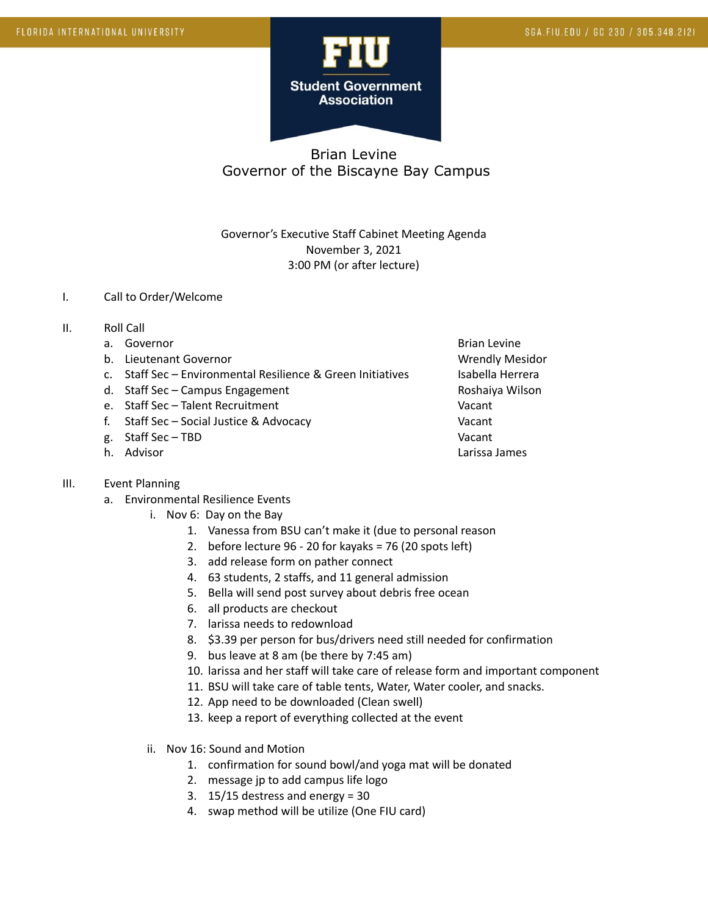

Governor's Executive Staff Cabinet Meeting Agenda November 3, 2021 3:00 PM (or after lecture)

#### I. Call to Order/Welcome

- II. Roll Call
	- a. Governor and the settlement of the settlement of the settlement of the Brian Levine
	- b. Lieutenant Governor Communication of the Wrendly Mesidor
	- c. Staff Sec Environmental Resilience & Green Initiatives Isabella Herrera
	- d. Staff Sec Campus Engagement Campus Controller Roshaiya Wilson
	- e. Staff Sec Talent Recruitment Vacant
	- f. Staff Sec Social Justice & Advocacy Vacant
	- g. Staff Sec TBD Vacant
	-

### III. Event Planning

- a. Environmental Resilience Events
	- i. Nov 6: Day on the Bay
		- 1. Vanessa from BSU can't make it (due to personal reason
		- 2. before lecture 96 20 for kayaks = 76 (20 spots left)
		- 3. add release form on pather connect
		- 4. 63 students, 2 staffs, and 11 general admission
		- 5. Bella will send post survey about debris free ocean
		- 6. all products are checkout
		- 7. larissa needs to redownload
		- 8. \$3.39 per person for bus/drivers need still needed for confirmation
		- 9. bus leave at 8 am (be there by 7:45 am)
		- 10. larissa and her staff will take care of release form and important component
		- 11. BSU will take care of table tents, Water, Water cooler, and snacks.
		- 12. App need to be downloaded (Clean swell)
		- 13. keep a report of everything collected at the event
	- ii. Nov 16: Sound and Motion
		- 1. confirmation for sound bowl/and yoga mat will be donated
		- 2. message jp to add campus life logo
		- 3. 15/15 destress and energy = 30
		- 4. swap method will be utilize (One FIU card)

h. Advisor **Lack Communist Communist Communist Communist Communist Communist Communist Communist Communist Communist Communist Communist Communist Communist Communist Communist Communist Communist Communist Communist Commu**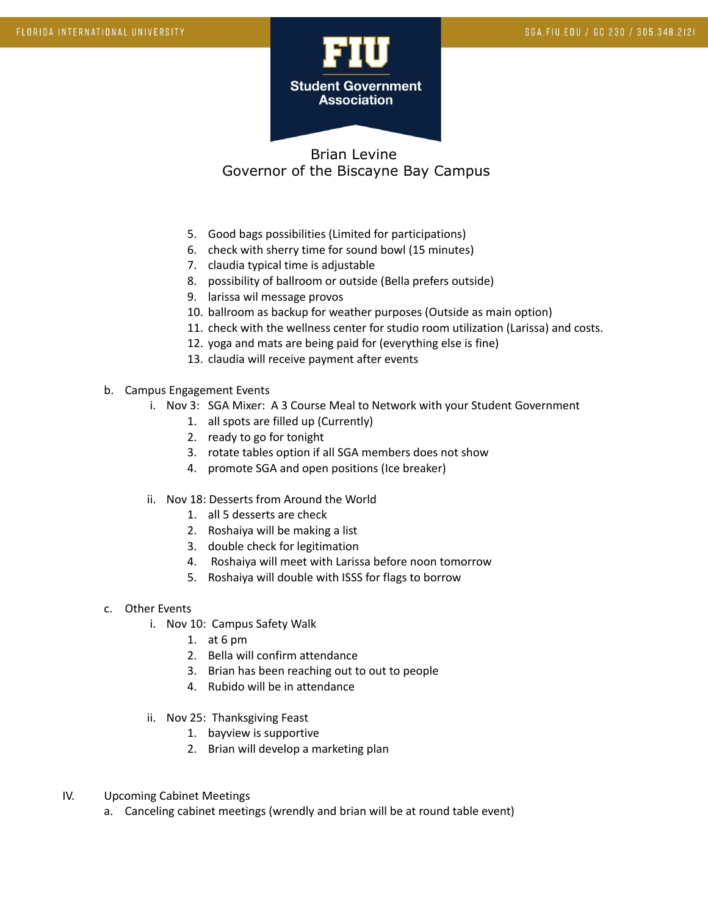

- 5. Good bags possibilities (Limited for participations)
- 6. check with sherry time for sound bowl (15 minutes)
- 7. claudia typical time is adjustable
- 8. possibility of ballroom or outside (Bella prefers outside)
- 9. larissa wil message provos
- 10. ballroom as backup for weather purposes (Outside as main option)
- 11. check with the wellness center for studio room utilization (Larissa) and costs.
- 12. yoga and mats are being paid for (everything else is fine)
- 13. claudia will receive payment after events
- b. Campus Engagement Events
	- i. Nov 3: SGA Mixer: A 3 Course Meal to Network with your Student Government
		- 1. all spots are filled up (Currently)
		- 2. ready to go for tonight
		- 3. rotate tables option if all SGA members does not show
		- 4. promote SGA and open positions (Ice breaker)
	- ii. Nov 18: Desserts from Around the World
		- 1. all 5 desserts are check
		- 2. Roshaiya will be making a list
		- 3. double check for legitimation
		- 4. Roshaiya will meet with Larissa before noon tomorrow
		- 5. Roshaiya will double with ISSS for flags to borrow
- c. Other Events
	- i. Nov 10: Campus Safety Walk
		- 1. at 6 pm
		- 2. Bella will confirm attendance
		- 3. Brian has been reaching out to out to people
		- 4. Rubido will be in attendance
	- ii. Nov 25: Thanksgiving Feast
		- 1. bayview is supportive
		- 2. Brian will develop a marketing plan
- IV. Upcoming Cabinet Meetings
	- a. Canceling cabinet meetings (wrendly and brian will be at round table event)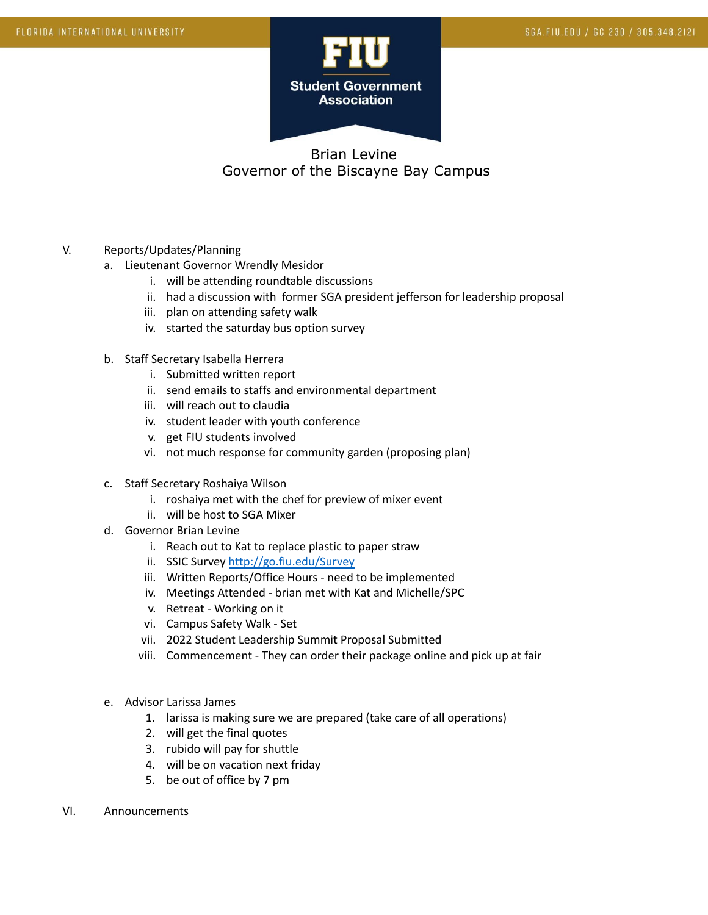

- V. Reports/Updates/Planning
	- a. Lieutenant Governor Wrendly Mesidor
		- i. will be attending roundtable discussions
		- ii. had a discussion with former SGA president jefferson for leadership proposal
		- iii. plan on attending safety walk
		- iv. started the saturday bus option survey
	- b. Staff Secretary Isabella Herrera
		- i. Submitted written report
		- ii. send emails to staffs and environmental department
		- iii. will reach out to claudia
		- iv. student leader with youth conference
		- v. get FIU students involved
		- vi. not much response for community garden (proposing plan)
	- c. Staff Secretary Roshaiya Wilson
		- i. roshaiya met with the chef for preview of mixer event
		- ii. will be host to SGA Mixer
	- d. Governor Brian Levine
		- i. Reach out to Kat to replace plastic to paper straw
		- ii. SSIC Survey <http://go.fiu.edu/Survey>
		- iii. Written Reports/Office Hours need to be implemented
		- iv. Meetings Attended brian met with Kat and Michelle/SPC
		- v. Retreat Working on it
		- vi. Campus Safety Walk Set
		- vii. 2022 Student Leadership Summit Proposal Submitted
		- viii. Commencement They can order their package online and pick up at fair
	- e. Advisor Larissa James
		- 1. larissa is making sure we are prepared (take care of all operations)
		- 2. will get the final quotes
		- 3. rubido will pay for shuttle
		- 4. will be on vacation next friday
		- 5. be out of office by 7 pm
- VI. Announcements